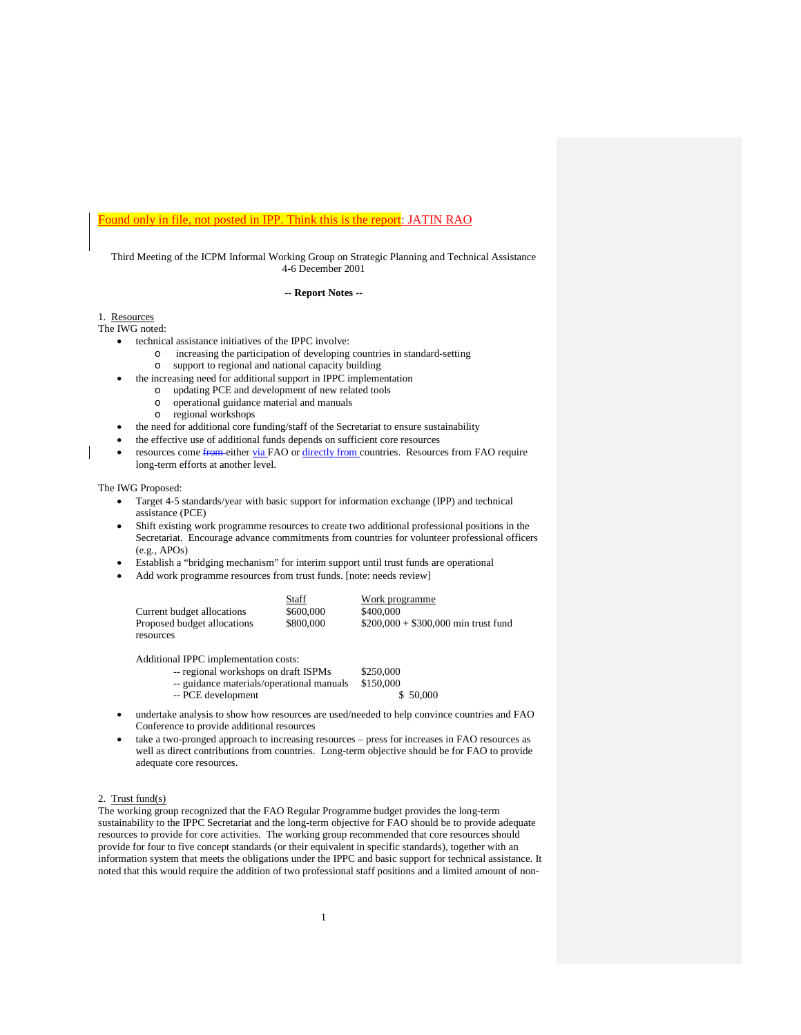# Found only in file, not posted in IPP. Think this is the report: JATIN RAO

Third Meeting of the ICPM Informal Working Group on Strategic Planning and Technical Assistance 4-6 December 2001

# **-- Report Notes --**

1. Resources

The IWG noted:

- technical assistance initiatives of the IPPC involve:
	- $\circ$  increasing the participation of developing countries in standard-setting  $\circ$  support to regional and national capacity building support to regional and national capacity building
	- the increasing need for additional support in IPPC implementation
		- o updating PCE and development of new related tools
		- o operational guidance material and manuals
		- regional workshops
- the need for additional core funding/staff of the Secretariat to ensure sustainability
- the effective use of additional funds depends on sufficient core resources
- resources come from either via FAO or directly from countries. Resources from FAO require long-term efforts at another level.

# The IWG Proposed:

- Target 4-5 standards/year with basic support for information exchange (IPP) and technical assistance (PCE)
- Shift existing work programme resources to create two additional professional positions in the Secretariat. Encourage advance commitments from countries for volunteer professional officers (e.g., APOs)
- Establish a "bridging mechanism" for interim support until trust funds are operational
- Add work programme resources from trust funds. [note: needs review]

|                             | Staff     | Work programme                       |
|-----------------------------|-----------|--------------------------------------|
| Current budget allocations  | \$600,000 | \$400,000                            |
| Proposed budget allocations | \$800,000 | $$200,000 + $300,000$ min trust fund |
| resources                   |           |                                      |

Additional IPPC implementation costs:

| -- regional workshops on draft ISPMs      | \$250,000 |
|-------------------------------------------|-----------|
| -- guidance materials/operational manuals | \$150,000 |
| -- PCE development                        | \$ 50,000 |

- undertake analysis to show how resources are used/needed to help convince countries and FAO Conference to provide additional resources
- take a two-pronged approach to increasing resources press for increases in FAO resources as well as direct contributions from countries. Long-term objective should be for FAO to provide adequate core resources.

## 2. Trust fund(s)

The working group recognized that the FAO Regular Programme budget provides the long-term sustainability to the IPPC Secretariat and the long-term objective for FAO should be to provide adequate resources to provide for core activities. The working group recommended that core resources should provide for four to five concept standards (or their equivalent in specific standards), together with an information system that meets the obligations under the IPPC and basic support for technical assistance. It noted that this would require the addition of two professional staff positions and a limited amount of non-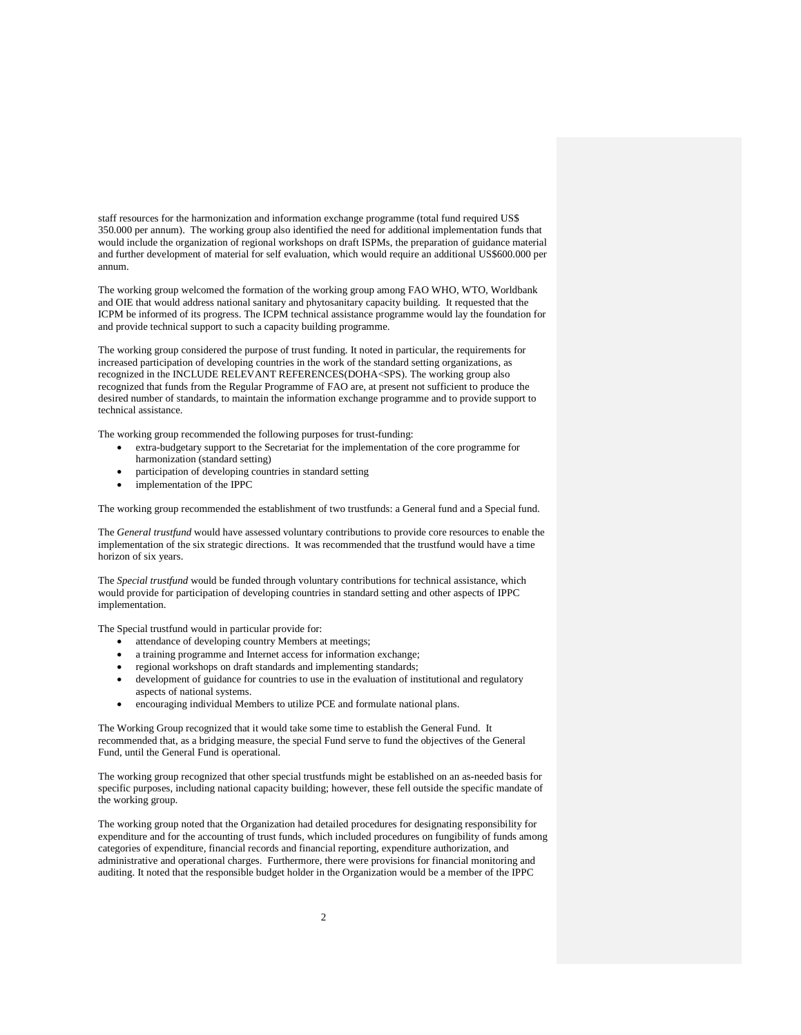staff resources for the harmonization and information exchange programme (total fund required US\$ 350.000 per annum). The working group also identified the need for additional implementation funds that would include the organization of regional workshops on draft ISPMs, the preparation of guidance material and further development of material for self evaluation, which would require an additional US\$600.000 per annum.

The working group welcomed the formation of the working group among FAO WHO, WTO, Worldbank and OIE that would address national sanitary and phytosanitary capacity building. It requested that the ICPM be informed of its progress. The ICPM technical assistance programme would lay the foundation for and provide technical support to such a capacity building programme.

The working group considered the purpose of trust funding. It noted in particular, the requirements for increased participation of developing countries in the work of the standard setting organizations, as recognized in the INCLUDE RELEVANT REFERENCES(DOHA<SPS). The working group also recognized that funds from the Regular Programme of FAO are, at present not sufficient to produce the desired number of standards, to maintain the information exchange programme and to provide support to technical assistance.

The working group recommended the following purposes for trust-funding:

- extra-budgetary support to the Secretariat for the implementation of the core programme for harmonization (standard setting)
- participation of developing countries in standard setting
- implementation of the IPPC

The working group recommended the establishment of two trustfunds: a General fund and a Special fund.

The *General trustfund* would have assessed voluntary contributions to provide core resources to enable the implementation of the six strategic directions. It was recommended that the trustfund would have a time horizon of six years.

The *Special trustfund* would be funded through voluntary contributions for technical assistance, which would provide for participation of developing countries in standard setting and other aspects of IPPC implementation.

The Special trustfund would in particular provide for:

- attendance of developing country Members at meetings;
- a training programme and Internet access for information exchange;
- regional workshops on draft standards and implementing standards;
- development of guidance for countries to use in the evaluation of institutional and regulatory aspects of national systems.
- encouraging individual Members to utilize PCE and formulate national plans.

The Working Group recognized that it would take some time to establish the General Fund. It recommended that, as a bridging measure, the special Fund serve to fund the objectives of the General Fund, until the General Fund is operational.

The working group recognized that other special trustfunds might be established on an as-needed basis for specific purposes, including national capacity building; however, these fell outside the specific mandate of the working group.

The working group noted that the Organization had detailed procedures for designating responsibility for expenditure and for the accounting of trust funds, which included procedures on fungibility of funds among categories of expenditure, financial records and financial reporting, expenditure authorization, and administrative and operational charges. Furthermore, there were provisions for financial monitoring and auditing. It noted that the responsible budget holder in the Organization would be a member of the IPPC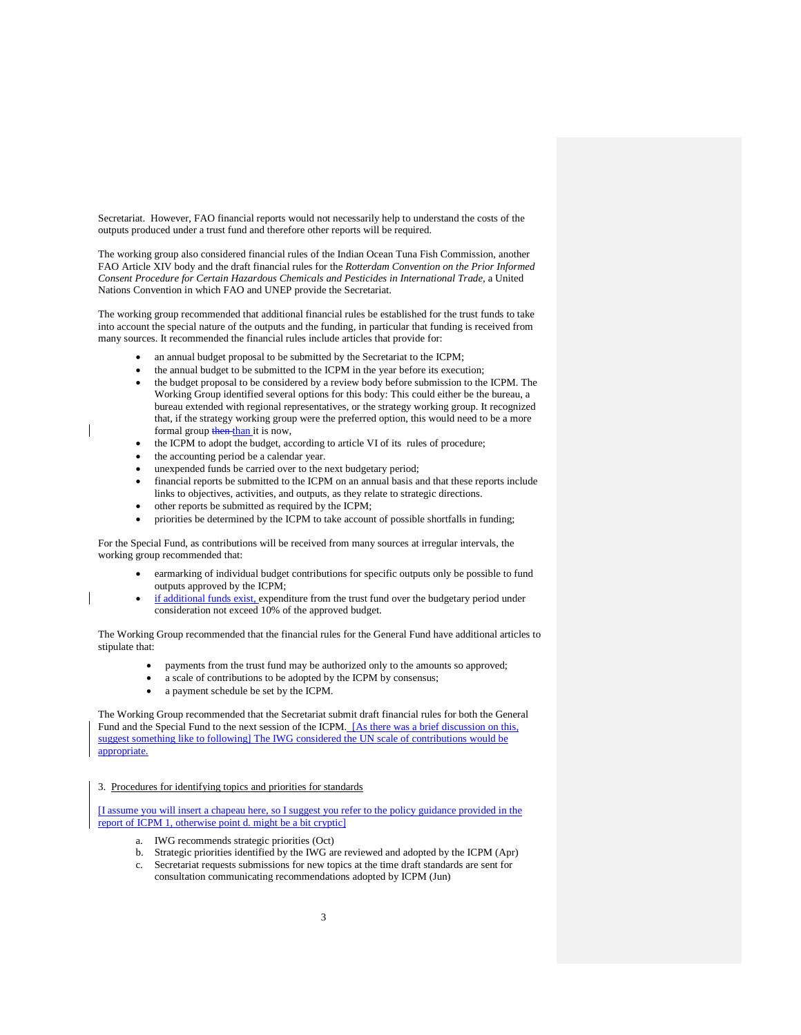Secretariat. However, FAO financial reports would not necessarily help to understand the costs of the outputs produced under a trust fund and therefore other reports will be required.

The working group also considered financial rules of the Indian Ocean Tuna Fish Commission, another FAO Article XIV body and the draft financial rules for the *Rotterdam Convention on the Prior Informed Consent Procedure for Certain Hazardous Chemicals and Pesticides in International Trade*, a United Nations Convention in which FAO and UNEP provide the Secretariat.

The working group recommended that additional financial rules be established for the trust funds to take into account the special nature of the outputs and the funding, in particular that funding is received from many sources. It recommended the financial rules include articles that provide for:

- an annual budget proposal to be submitted by the Secretariat to the ICPM;
- the annual budget to be submitted to the ICPM in the year before its execution;
- the budget proposal to be considered by a review body before submission to the ICPM. The Working Group identified several options for this body: This could either be the bureau, a bureau extended with regional representatives, or the strategy working group. It recognized that, if the strategy working group were the preferred option, this would need to be a more formal group then than it is now,
- the ICPM to adopt the budget, according to article VI of its rules of procedure;
- the accounting period be a calendar year.
- unexpended funds be carried over to the next budgetary period;
- financial reports be submitted to the ICPM on an annual basis and that these reports include links to objectives, activities, and outputs, as they relate to strategic directions.
- other reports be submitted as required by the ICPM;
- priorities be determined by the ICPM to take account of possible shortfalls in funding;

For the Special Fund, as contributions will be received from many sources at irregular intervals, the working group recommended that:

- earmarking of individual budget contributions for specific outputs only be possible to fund outputs approved by the ICPM;
- if additional funds exist, expenditure from the trust fund over the budgetary period under consideration not exceed 10% of the approved budget.

The Working Group recommended that the financial rules for the General Fund have additional articles to stipulate that:

- payments from the trust fund may be authorized only to the amounts so approved;
- a scale of contributions to be adopted by the ICPM by consensus;
- a payment schedule be set by the ICPM.

The Working Group recommended that the Secretariat submit draft financial rules for both the General Fund and the Special Fund to the next session of the ICPM. [As there was a brief discussion on this, suggest something like to following] The IWG considered the UN scale of contributions would be appropriate.

3. Procedures for identifying topics and priorities for standards

[I assume you will insert a chapeau here, so I suggest you refer to the policy guidance provided in the report of ICPM 1, otherwise point d. might be a bit cryptic]

- a. IWG recommends strategic priorities (Oct)
- b. Strategic priorities identified by the IWG are reviewed and adopted by the ICPM (Apr)
- c. Secretariat requests submissions for new topics at the time draft standards are sent for consultation communicating recommendations adopted by ICPM (Jun)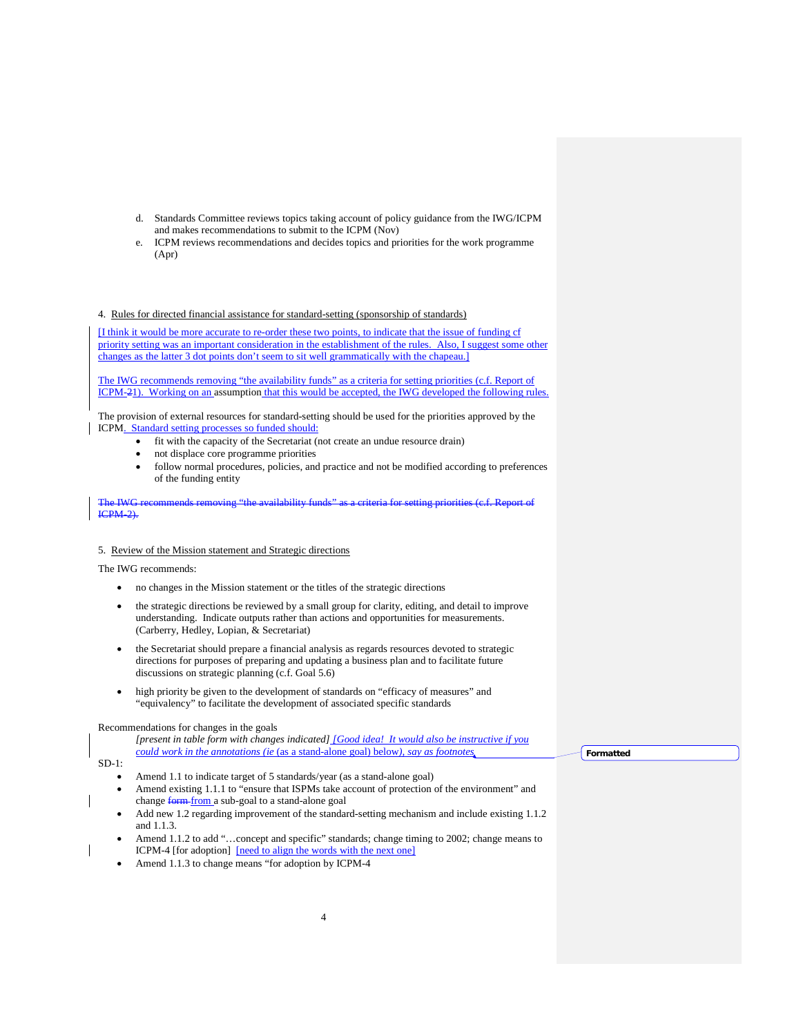- d. Standards Committee reviews topics taking account of policy guidance from the IWG/ICPM and makes recommendations to submit to the ICPM (Nov)
- e. ICPM reviews recommendations and decides topics and priorities for the work programme (Apr)

# 4. Rules for directed financial assistance for standard-setting (sponsorship of standards)

[I think it would be more accurate to re-order these two points, to indicate that the issue of funding cf priority setting was an important consideration in the establishment of the rules. Also, I suggest some other changes as the latter 3 dot points don't seem to sit well grammatically with the chapeau.]

The IWG recommends removing "the availability funds" as a criteria for setting priorities (c.f. Report of ICPM-21). Working on an assumption that this would be accepted, the IWG developed the following rules.

The provision of external resources for standard-setting should be used for the priorities approved by the ICPM. Standard setting processes so funded should:

- fit with the capacity of the Secretariat (not create an undue resource drain)
- not displace core programme priorities
- follow normal procedures, policies, and practice and not be modified according to preferences of the funding entity

the IWG recommends removing "the availability funds" as a criteria for setting priorities (c.f. Report of ICPM-2).

#### 5. Review of the Mission statement and Strategic directions

The IWG recommends:

- no changes in the Mission statement or the titles of the strategic directions
- the strategic directions be reviewed by a small group for clarity, editing, and detail to improve understanding. Indicate outputs rather than actions and opportunities for measurements. (Carberry, Hedley, Lopian, & Secretariat)
- the Secretariat should prepare a financial analysis as regards resources devoted to strategic directions for purposes of preparing and updating a business plan and to facilitate future discussions on strategic planning (c.f. Goal 5.6)
- high priority be given to the development of standards on "efficacy of measures" and "equivalency" to facilitate the development of associated specific standards

Recommendations for changes in the goals

*[present in table form with changes indicated] [Good idea! It would also be instructive if you could work in the annotations (ie* (as a stand-alone goal) below*), say as footnotes*

**Formatted**

SD-1:

- Amend 1.1 to indicate target of 5 standards/year (as a stand-alone goal)
- Amend existing 1.1.1 to "ensure that ISPMs take account of protection of the environment" and change form from a sub-goal to a stand-alone goal
- Add new 1.2 regarding improvement of the standard-setting mechanism and include existing 1.1.2 and 1.1.3.
- Amend 1.1.2 to add "…concept and specific" standards; change timing to 2002; change means to ICPM-4 [for adoption] [need to align the words with the next one]
- Amend 1.1.3 to change means "for adoption by ICPM-4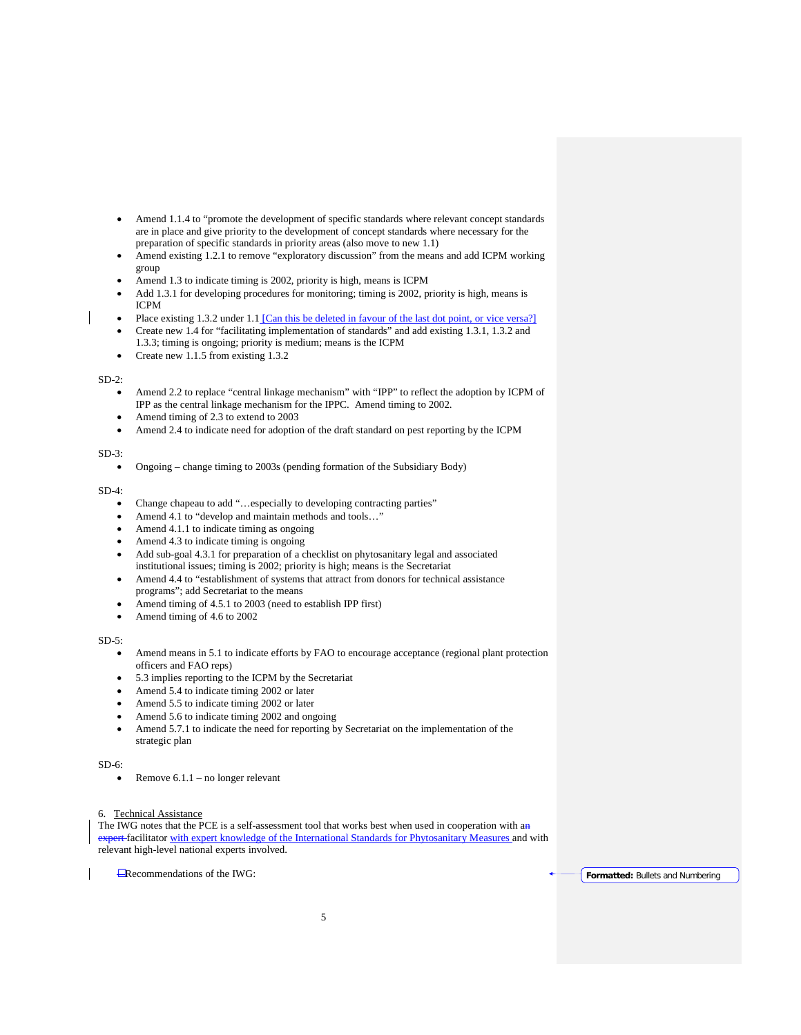- Amend 1.1.4 to "promote the development of specific standards where relevant concept standards are in place and give priority to the development of concept standards where necessary for the preparation of specific standards in priority areas (also move to new 1.1)
- Amend existing 1.2.1 to remove "exploratory discussion" from the means and add ICPM working group
- Amend 1.3 to indicate timing is 2002, priority is high, means is ICPM
- Add 1.3.1 for developing procedures for monitoring; timing is 2002, priority is high, means is ICPM
- Place existing 1.3.2 under 1.1 [Can this be deleted in favour of the last dot point, or vice versa?]
- Create new 1.4 for "facilitating implementation of standards" and add existing 1.3.1, 1.3.2 and 1.3.3; timing is ongoing; priority is medium; means is the ICPM
- Create new 1.1.5 from existing 1.3.2

# $SD-2$ :

- Amend 2.2 to replace "central linkage mechanism" with "IPP" to reflect the adoption by ICPM of IPP as the central linkage mechanism for the IPPC. Amend timing to 2002.
- Amend timing of 2.3 to extend to 2003
- Amend 2.4 to indicate need for adoption of the draft standard on pest reporting by the ICPM

## SD-3:

• Ongoing – change timing to 2003s (pending formation of the Subsidiary Body)

## $SD-4$

- Change chapeau to add "…especially to developing contracting parties"
- Amend 4.1 to "develop and maintain methods and tools…"
- Amend 4.1.1 to indicate timing as ongoing
- Amend 4.3 to indicate timing is ongoing
- Add sub-goal 4.3.1 for preparation of a checklist on phytosanitary legal and associated institutional issues; timing is 2002; priority is high; means is the Secretariat
- Amend 4.4 to "establishment of systems that attract from donors for technical assistance programs"; add Secretariat to the means
- Amend timing of 4.5.1 to 2003 (need to establish IPP first)
- Amend timing of 4.6 to 2002

# $SD-5$ :

- Amend means in 5.1 to indicate efforts by FAO to encourage acceptance (regional plant protection officers and FAO reps)
- 5.3 implies reporting to the ICPM by the Secretariat
- Amend 5.4 to indicate timing 2002 or later
- Amend 5.5 to indicate timing 2002 or later
- Amend 5.6 to indicate timing 2002 and ongoing
- Amend 5.7.1 to indicate the need for reporting by Secretariat on the implementation of the strategic plan

#### SD-6:

Remove 6.1.1 – no longer relevant

# 6. Technical Assistance

The IWG notes that the PCE is a self-assessment tool that works best when used in cooperation with an expert-facilitator with expert knowledge of the International Standards for Phytosanitary Measures and with relevant high-level national experts involved.

Recommendations of the IWG: **Formatted:** Bullets and Numbering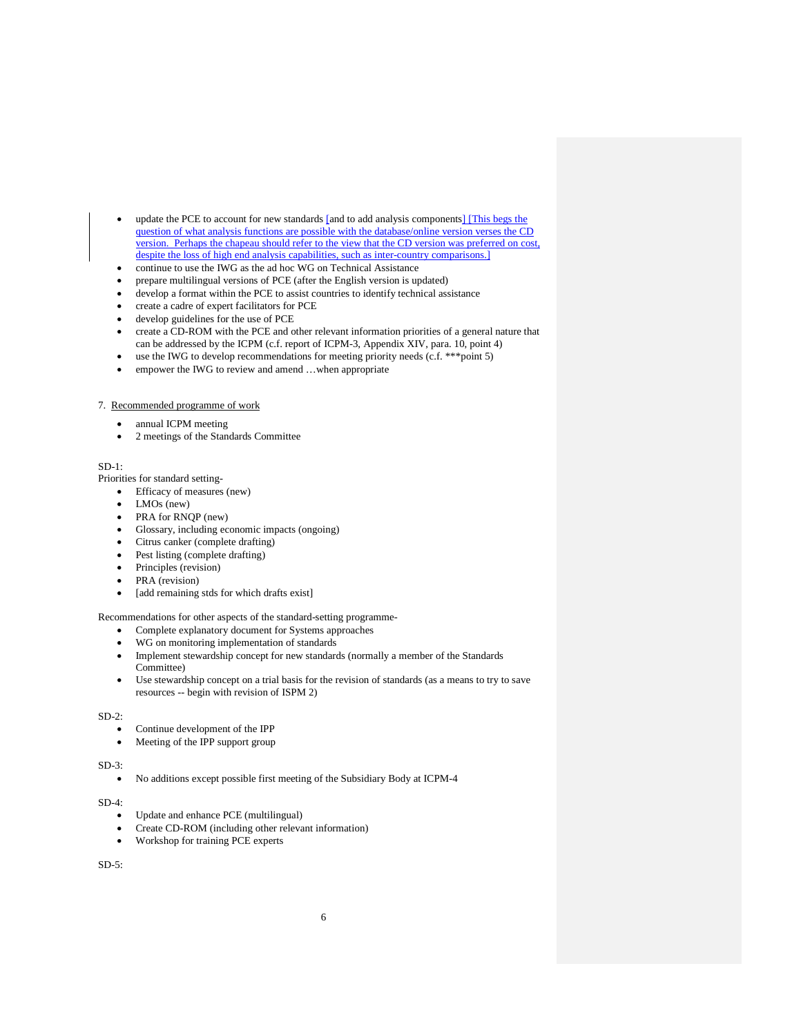- update the PCE to account for new standards [and to add analysis components] [This begs the question of what analysis functions are possible with the database/online version verses the CD version. Perhaps the chapeau should refer to the view that the CD version was preferred on cost, despite the loss of high end analysis capabilities, such as inter-country comparisons.
- continue to use the IWG as the ad hoc WG on Technical Assistance
- prepare multilingual versions of PCE (after the English version is updated)
- develop a format within the PCE to assist countries to identify technical assistance
- create a cadre of expert facilitators for PCE
- develop guidelines for the use of PCE
- create a CD-ROM with the PCE and other relevant information priorities of a general nature that can be addressed by the ICPM (c.f. report of ICPM-3, Appendix XIV, para. 10, point 4)
- use the IWG to develop recommendations for meeting priority needs (c.f. \*\*\* point 5)
- empower the IWG to review and amend ...when appropriate

# 7. Recommended programme of work

- annual ICPM meeting
- 2 meetings of the Standards Committee

# SD-1:

Priorities for standard setting-

- Efficacy of measures (new)
- LMOs (new)
- PRA for RNQP (new)
- Glossary, including economic impacts (ongoing)
- Citrus canker (complete drafting)
- Pest listing (complete drafting)
- Principles (revision)
- PRA (revision)
- [add remaining stds for which drafts exist]

Recommendations for other aspects of the standard-setting programme-

- Complete explanatory document for Systems approaches
- WG on monitoring implementation of standards
- Implement stewardship concept for new standards (normally a member of the Standards Committee)
- Use stewardship concept on a trial basis for the revision of standards (as a means to try to save resources -- begin with revision of ISPM 2)

 $SD-2$ 

- Continue development of the IPP
- Meeting of the IPP support group

#### $SD-3$ :

• No additions except possible first meeting of the Subsidiary Body at ICPM-4

SD-4:

- Update and enhance PCE (multilingual)
- Create CD-ROM (including other relevant information)
- Workshop for training PCE experts

SD-5: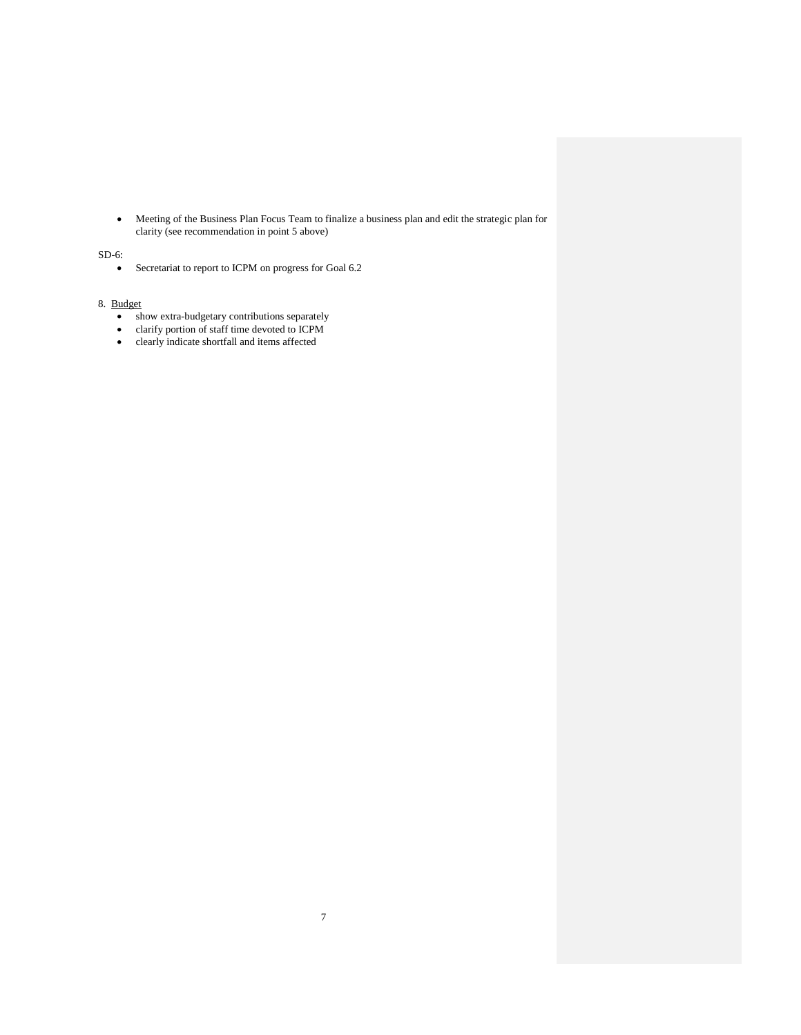• Meeting of the Business Plan Focus Team to finalize a business plan and edit the strategic plan for clarity (see recommendation in point 5 above)

# SD-6:

• Secretariat to report to ICPM on progress for Goal 6.2

# 8. Budget

- show extra-budgetary contributions separately
- clarify portion of staff time devoted to ICPM
- clearly indicate shortfall and items affected